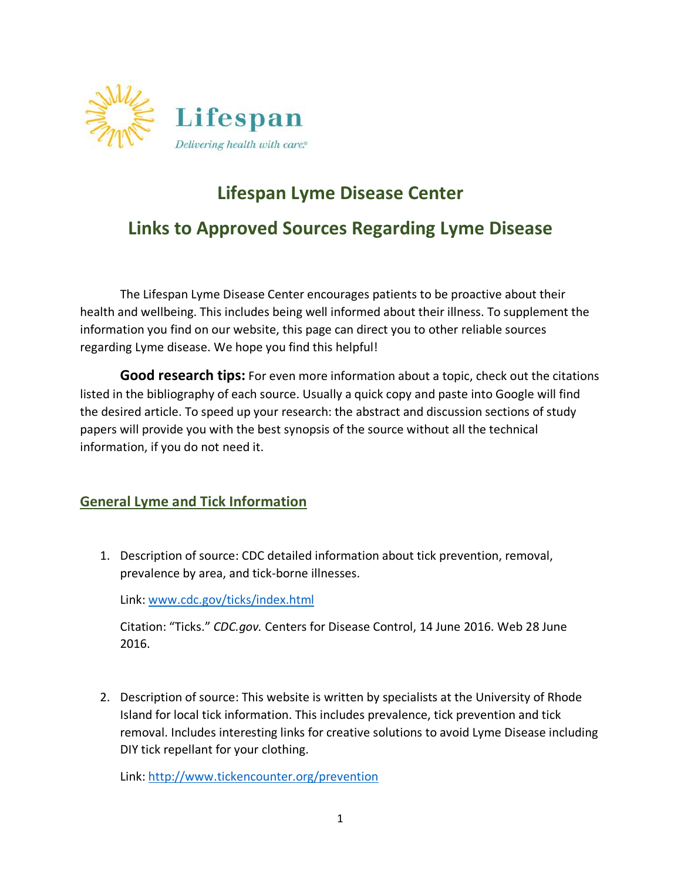

# **Lifespan Lyme Disease Center**

## **Links to Approved Sources Regarding Lyme Disease**

The Lifespan Lyme Disease Center encourages patients to be proactive about their health and wellbeing. This includes being well informed about their illness. To supplement the information you find on our website, this page can direct you to other reliable sources regarding Lyme disease. We hope you find this helpful!

**Good research tips:** For even more information about a topic, check out the citations listed in the bibliography of each source. Usually a quick copy and paste into Google will find the desired article. To speed up your research: the abstract and discussion sections of study papers will provide you with the best synopsis of the source without all the technical information, if you do not need it.

### **General Lyme and Tick Information**

1. Description of source: CDC detailed information about tick prevention, removal, prevalence by area, and tick-borne illnesses.

Link: [www.cdc.gov/ticks/index.html](http://www.cdc.gov/ticks/index.html)

Citation: "Ticks." *CDC.gov.* Centers for Disease Control, 14 June 2016. Web 28 June 2016.

2. Description of source: This website is written by specialists at the University of Rhode Island for local tick information. This includes prevalence, tick prevention and tick removal. Includes interesting links for creative solutions to avoid Lyme Disease including DIY tick repellant for your clothing.

Link:<http://www.tickencounter.org/prevention>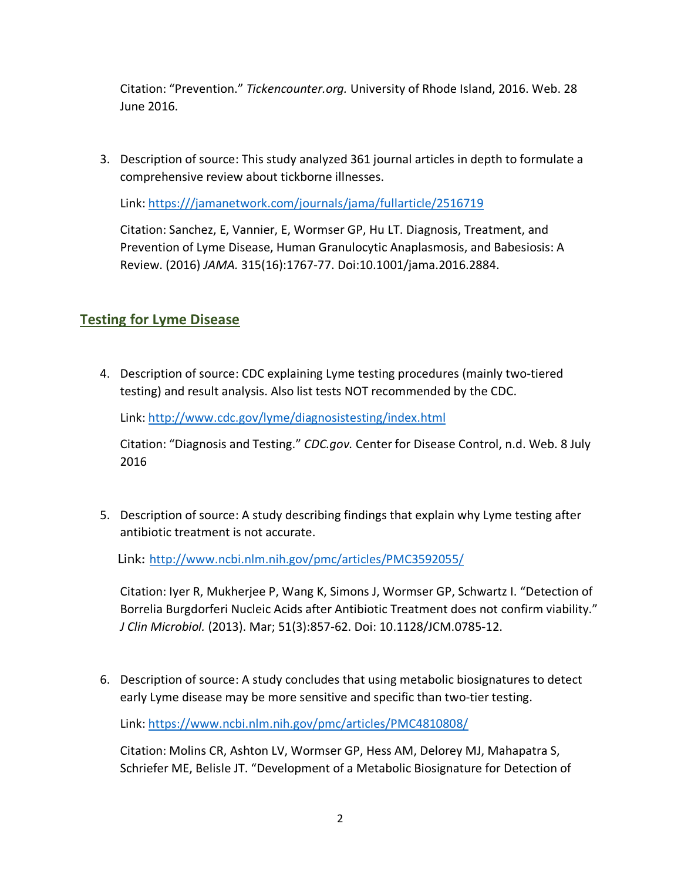Citation: "Prevention." *Tickencounter.org.* University of Rhode Island, 2016. Web. 28 June 2016.

3. Description of source: This study analyzed 361 journal articles in depth to formulate a comprehensive review about tickborne illnesses.

Link: https:///jamanetwork.com/journals/jama/fullarticle/2516719

Citation: Sanchez, E, Vannier, E, Wormser GP, Hu LT. Diagnosis, Treatment, and Prevention of Lyme Disease, Human Granulocytic Anaplasmosis, and Babesiosis: A Review. (2016) *JAMA.* 315(16):1767-77. Doi:10.1001/jama.2016.2884.

## **Testing for Lyme Disease**

4. Description of source: CDC explaining Lyme testing procedures (mainly two-tiered testing) and result analysis. Also list tests NOT recommended by the CDC.

Link:<http://www.cdc.gov/lyme/diagnosistesting/index.html>

Citation: "Diagnosis and Testing." *CDC.gov.* Center for Disease Control, n.d. Web. 8 July 2016

5. Description of source: A study describing findings that explain why Lyme testing after antibiotic treatment is not accurate.

Link: <http://www.ncbi.nlm.nih.gov/pmc/articles/PMC3592055/>

Citation: Iyer R, Mukherjee P, Wang K, Simons J, Wormser GP, Schwartz I. "Detection of Borrelia Burgdorferi Nucleic Acids after Antibiotic Treatment does not confirm viability." *J Clin Microbiol.* (2013). Mar; 51(3):857-62. Doi: 10.1128/JCM.0785-12.

6. Description of source: A study concludes that using metabolic biosignatures to detect early Lyme disease may be more sensitive and specific than two-tier testing.

Link: https:/[/www.ncbi.nlm.nih.gov/pmc/articles/PMC4810808/](http://www.ncbi.nlm.nih.gov/pmc/articles/PMC4810808/)

Citation: Molins CR, Ashton LV, Wormser GP, Hess AM, Delorey MJ, Mahapatra S, Schriefer ME, Belisle JT. "Development of a Metabolic Biosignature for Detection of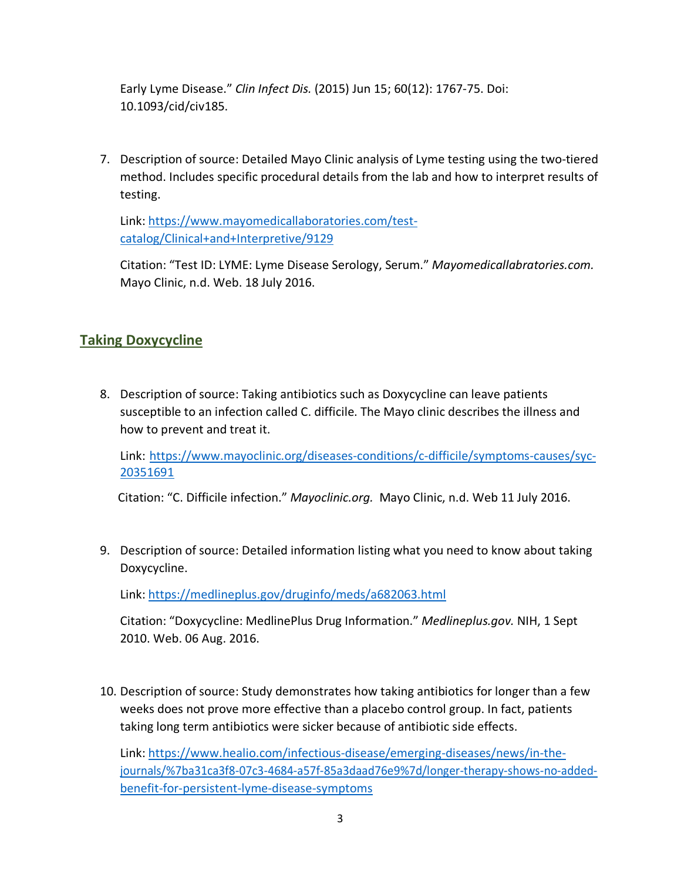Early Lyme Disease." *Clin Infect Dis.* (2015) Jun 15; 60(12): 1767-75. Doi: 10.1093/cid/civ185.

7. Description of source: Detailed Mayo Clinic analysis of Lyme testing using the two-tiered method. Includes specific procedural details from the lab and how to interpret results of testing.

Link: https:/[/www.mayomedicallaboratories.com/test](http://www.mayomedicallaboratories.com/test-catalog/Clinical%2Band%2BInterpretive/9129)[catalog/Clinical+and+Interpretive/9129](http://www.mayomedicallaboratories.com/test-catalog/Clinical%2Band%2BInterpretive/9129)

Citation: "Test ID: LYME: Lyme Disease Serology, Serum." *Mayomedicallabratories.com.*  Mayo Clinic, n.d. Web. 18 July 2016.

## **Taking Doxycycline**

8. Description of source: Taking antibiotics such as Doxycycline can leave patients susceptible to an infection called C. difficile. The Mayo clinic describes the illness and how to prevent and treat it.

Link: https:/[/www.mayoclinic.org/diseases-conditions/c-difficile/symptoms-causes/syc-](http://www.mayoclinic.org/diseases-conditions/c-difficile/symptoms-causes/syc-)20351691

Citation: "C. Difficile infection." *Mayoclinic.org.* Mayo Clinic, n.d. Web 11 July 2016.

9. Description of source: Detailed information listing what you need to know about taking Doxycycline.

Link: https://medlineplus.gov/druginfo/meds/a682063.html

Citation: "Doxycycline: MedlinePlus Drug Information." *Medlineplus.gov.* NIH, 1 Sept 2010. Web. 06 Aug. 2016.

10. Description of source: Study demonstrates how taking antibiotics for longer than a few weeks does not prove more effective than a placebo control group. In fact, patients taking long term antibiotics were sicker because of antibiotic side effects.

Link: https:/[/www.healio.com/infectious-disease/emerging-diseases/news/in-the](http://www.healio.com/infectious-disease/emerging-diseases/news/in-the-)journals/%7ba31ca3f8-07c3-4684-a57f-85a3daad76e9%7d/longer-therapy-shows-no-addedbenefit-for-persistent-lyme-disease-symptoms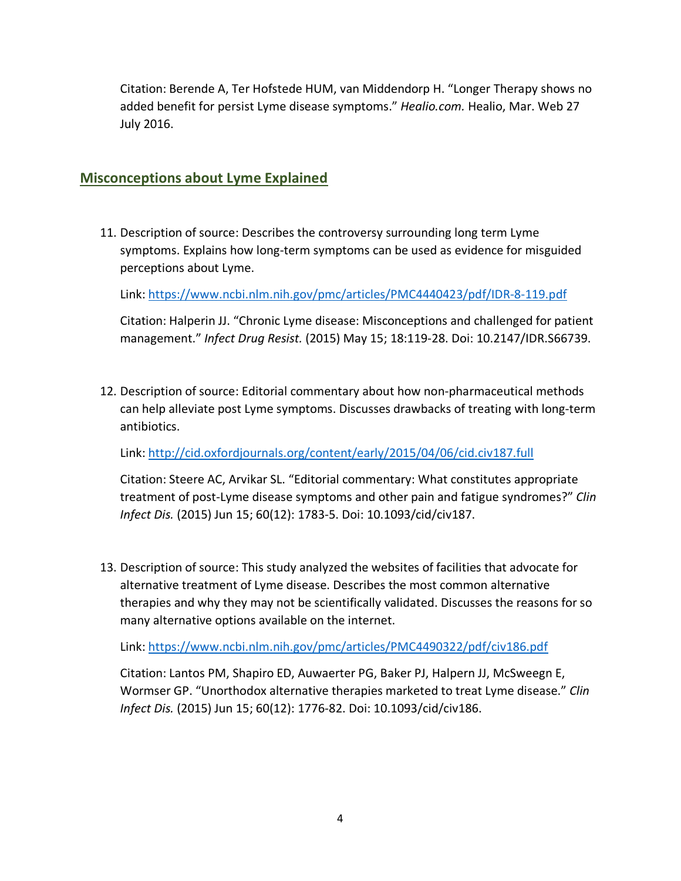Citation: Berende A, Ter Hofstede HUM, van Middendorp H. "Longer Therapy shows no added benefit for persist Lyme disease symptoms." *Healio.com.* Healio, Mar. Web 27 July 2016.

### **Misconceptions about Lyme Explained**

11. Description of source: Describes the controversy surrounding long term Lyme symptoms. Explains how long-term symptoms can be used as evidence for misguided perceptions about Lyme.

Link: https:/[/www.ncbi.nlm.nih.gov/pmc/articles/PMC4440423/pdf/IDR-8-119.pdf](http://www.ncbi.nlm.nih.gov/pmc/articles/PMC4440423/pdf/IDR-8-119.pdf)

Citation: Halperin JJ. "Chronic Lyme disease: Misconceptions and challenged for patient management." *Infect Drug Resist.* (2015) May 15; 18:119-28. Doi: 10.2147/IDR.S66739.

12. Description of source: Editorial commentary about how non-pharmaceutical methods can help alleviate post Lyme symptoms. Discusses drawbacks of treating with long-term antibiotics.

Link: <http://cid.oxfordjournals.org/content/early/2015/04/06/cid.civ187.full>

Citation: Steere AC, Arvikar SL. "Editorial commentary: What constitutes appropriate treatment of post-Lyme disease symptoms and other pain and fatigue syndromes?" *Clin Infect Dis.* (2015) Jun 15; 60(12): 1783-5. Doi: 10.1093/cid/civ187.

13. Description of source: This study analyzed the websites of facilities that advocate for alternative treatment of Lyme disease. Describes the most common alternative therapies and why they may not be scientifically validated. Discusses the reasons for so many alternative options available on the internet.

Link: https:/[/www.ncbi.nlm.nih.gov/pmc/articles/PMC4490322/pdf/civ186.pdf](http://www.ncbi.nlm.nih.gov/pmc/articles/PMC4490322/pdf/civ186.pdf)

Citation: Lantos PM, Shapiro ED, Auwaerter PG, Baker PJ, Halpern JJ, McSweegn E, Wormser GP. "Unorthodox alternative therapies marketed to treat Lyme disease." *Clin Infect Dis.* (2015) Jun 15; 60(12): 1776-82. Doi: 10.1093/cid/civ186.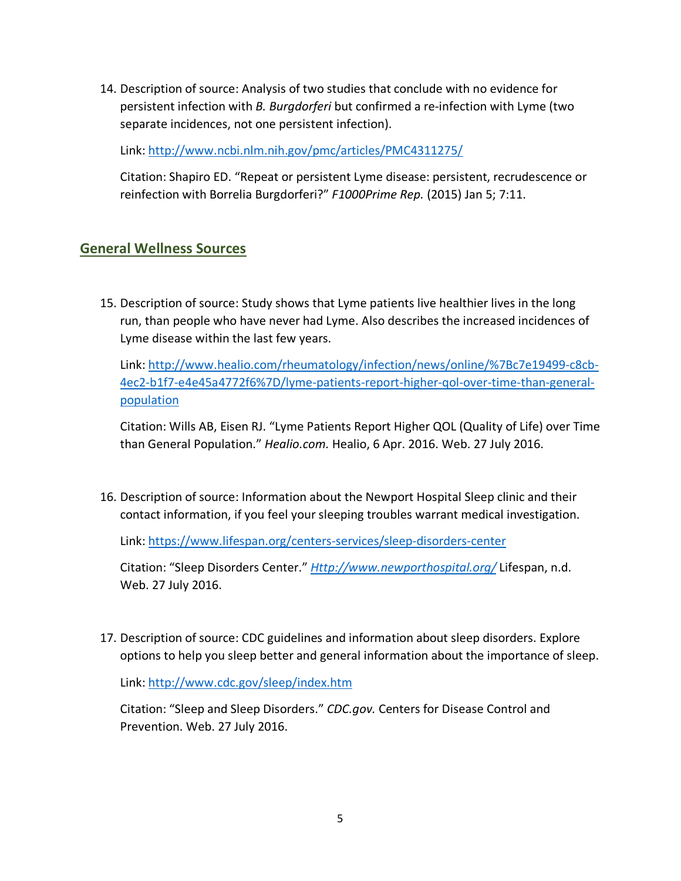14. Description of source: Analysis of two studies that conclude with no evidence for persistent infection with *B. Burgdorferi* but confirmed a re-infection with Lyme (two separate incidences, not one persistent infection).

Link: <http://www.ncbi.nlm.nih.gov/pmc/articles/PMC4311275/>

Citation: Shapiro ED. "Repeat or persistent Lyme disease: persistent, recrudescence or reinfection with Borrelia Burgdorferi?" *F1000Prime Rep.* (2015) Jan 5; 7:11.

### **General Wellness Sources**

15. Description of source: Study shows that Lyme patients live healthier lives in the long run, than people who have never had Lyme. Also describes the increased incidences of Lyme disease within the last few years.

Link: <http://www.healio.com/rheumatology/infection/news/online/%7Bc7e19499-c8cb->4ec2-b1f7-e4e45a4772f6%7D/lyme-patients-report-higher-qol-over-time-than-generalpopulation

Citation: Wills AB, Eisen RJ. "Lyme Patients Report Higher QOL (Quality of Life) over Time than General Population." *Healio.com.* Healio, 6 Apr. 2016. Web. 27 July 2016.

16. Description of source: Information about the Newport Hospital Sleep clinic and their contact information, if you feel your sleeping troubles warrant medical investigation.

Link: https:/[/www.lifespan.org/centers-services/sleep-disorders-center](http://www.lifespan.org/centers-services/sleep-disorders-center)

Citation: "Sleep Disorders Center." *[Http://www.newporthospital.org/](http://www.newporthospital.org/)* Lifespan, n.d. Web. 27 July 2016.

17. Description of source: CDC guidelines and information about sleep disorders. Explore options to help you sleep better and general information about the importance of sleep.

Link:<http://www.cdc.gov/sleep/index.htm>

Citation: "Sleep and Sleep Disorders." *CDC.gov.* Centers for Disease Control and Prevention. Web. 27 July 2016.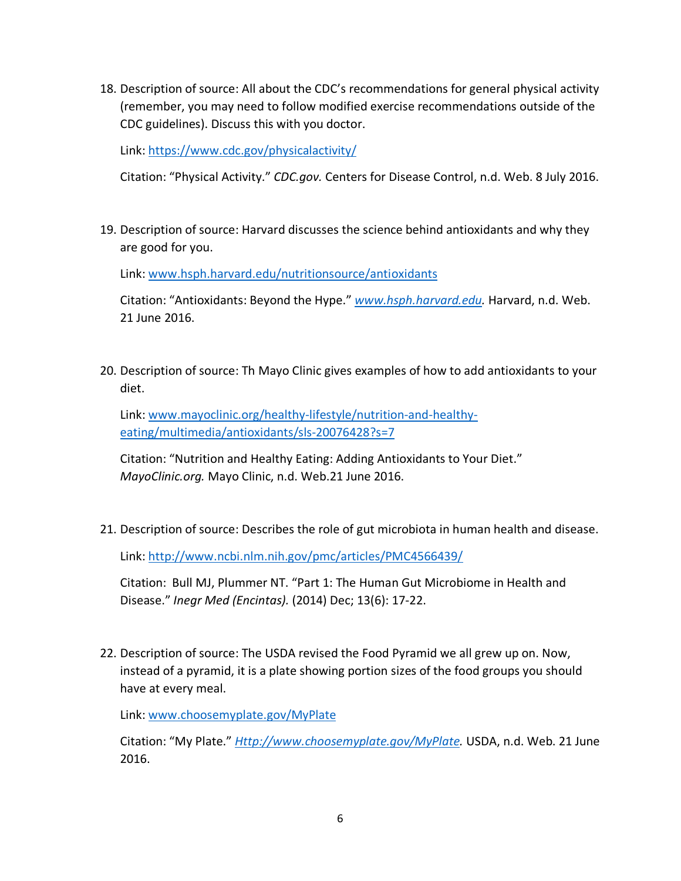18. Description of source: All about the CDC's recommendations for general physical activity (remember, you may need to follow modified exercise recommendations outside of the CDC guidelines). Discuss this with you doctor.

Link: https:/[/www.cdc.gov/physicalactivity/](http://www.cdc.gov/physicalactivity/)

Citation: "Physical Activity." *CDC.gov.* Centers for Disease Control, n.d. Web. 8 July 2016.

19. Description of source: Harvard discusses the science behind antioxidants and why they are good for you.

Link: [www.hsph.harvard.edu/nutritionsource/antioxidants](http://www.hsph.harvard.edu/nutritionsource/antioxidants)

Citation: "Antioxidants: Beyond the Hype." *[www.hsph.harvard.edu.](http://www.hsph.harvard.edu/)* Harvard, n.d. Web. 21 June 2016.

20. Description of source: Th Mayo Clinic gives examples of how to add antioxidants to your diet.

Link: [www.mayoclinic.org/healthy-lifestyle/nutrition-and-healthy](http://www.mayoclinic.org/healthy-lifestyle/nutrition-and-healthy-)eating/multimedia/antioxidants/sls-20076428?s=7

Citation: "Nutrition and Healthy Eating: Adding Antioxidants to Your Diet." *MayoClinic.org.* Mayo Clinic, n.d. Web.21 June 2016.

21. Description of source: Describes the role of gut microbiota in human health and disease.

Link: <http://www.ncbi.nlm.nih.gov/pmc/articles/PMC4566439/>

Citation: Bull MJ, Plummer NT. "Part 1: The Human Gut Microbiome in Health and Disease." *Inegr Med (Encintas).* (2014) Dec; 13(6): 17-22.

22. Description of source: The USDA revised the Food Pyramid we all grew up on. Now, instead of a pyramid, it is a plate showing portion sizes of the food groups you should have at every meal.

Link: [www.choosemyplate.gov/MyPlate](http://www.choosemyplate.gov/MyPlate)

Citation: "My Plate." *[Http://www.choosemyplate.gov/MyPlate.](http://www.choosemyplate.gov/MyPlate)* USDA, n.d. Web. 21 June 2016.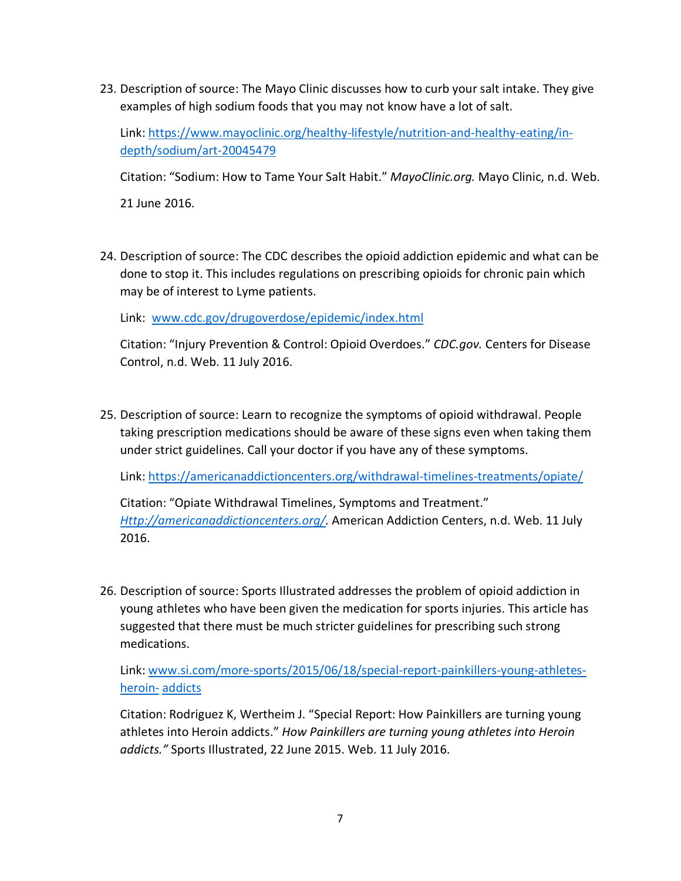23. Description of source: The Mayo Clinic discusses how to curb your salt intake. They give examples of high sodium foods that you may not know have a lot of salt.

Link: [https://www](http://www.mayoclinic.org/healthy-lifestyle/nutrition-and-healthy-eating/in-).may[oclinic.org/healthy-lifestyle/nutrition-and-healthy-eating/in](http://www.mayoclinic.org/healthy-lifestyle/nutrition-and-healthy-eating/in-)depth/sodium/art-20045479

Citation: "Sodium: How to Tame Your Salt Habit." *MayoClinic.org.* Mayo Clinic, n.d. Web.

21 June 2016.

24. Description of source: The CDC describes the opioid addiction epidemic and what can be done to stop it. This includes regulations on prescribing opioids for chronic pain which may be of interest to Lyme patients.

Link: [www.cdc.gov/drugoverdose/epidemic/index.html](http://www.cdc.gov/drugoverdose/epidemic/index.html)

Citation: "Injury Prevention & Control: Opioid Overdoes." *CDC.gov.* Centers for Disease Control, n.d. Web. 11 July 2016.

25. Description of source: Learn to recognize the symptoms of opioid withdrawal. People taking prescription medications should be aware of these signs even when taking them under strict guidelines. Call your doctor if you have any of these symptoms.

Link: https://americanaddictioncenters.org/withdrawal-timelines-treatments/opiate/

Citation: "Opiate Withdrawal Timelines, Symptoms and Treatment." *[Http://americanaddictioncenters.org/.](http://americanaddictioncenters.org/)* American Addiction Centers, n.d. Web. 11 July 2016.

26. Description of source: Sports Illustrated addresses the problem of opioid addiction in young athletes who have been given the medication for sports injuries. This article has suggested that there must be much stricter guidelines for prescribing such strong medications.

Link: [www.si.com/more-sports/2015/06/18/special-report-painkillers-young-athletes](http://www.si.com/more-sports/2015/06/18/special-report-painkillers-young-athletes-heroin-)[heroin-](http://www.si.com/more-sports/2015/06/18/special-report-painkillers-young-athletes-heroin-) addicts

Citation: Rodriguez K, Wertheim J. "Special Report: How Painkillers are turning young athletes into Heroin addicts." *How Painkillers are turning young athletes into Heroin addicts."* Sports Illustrated, 22 June 2015. Web. 11 July 2016.